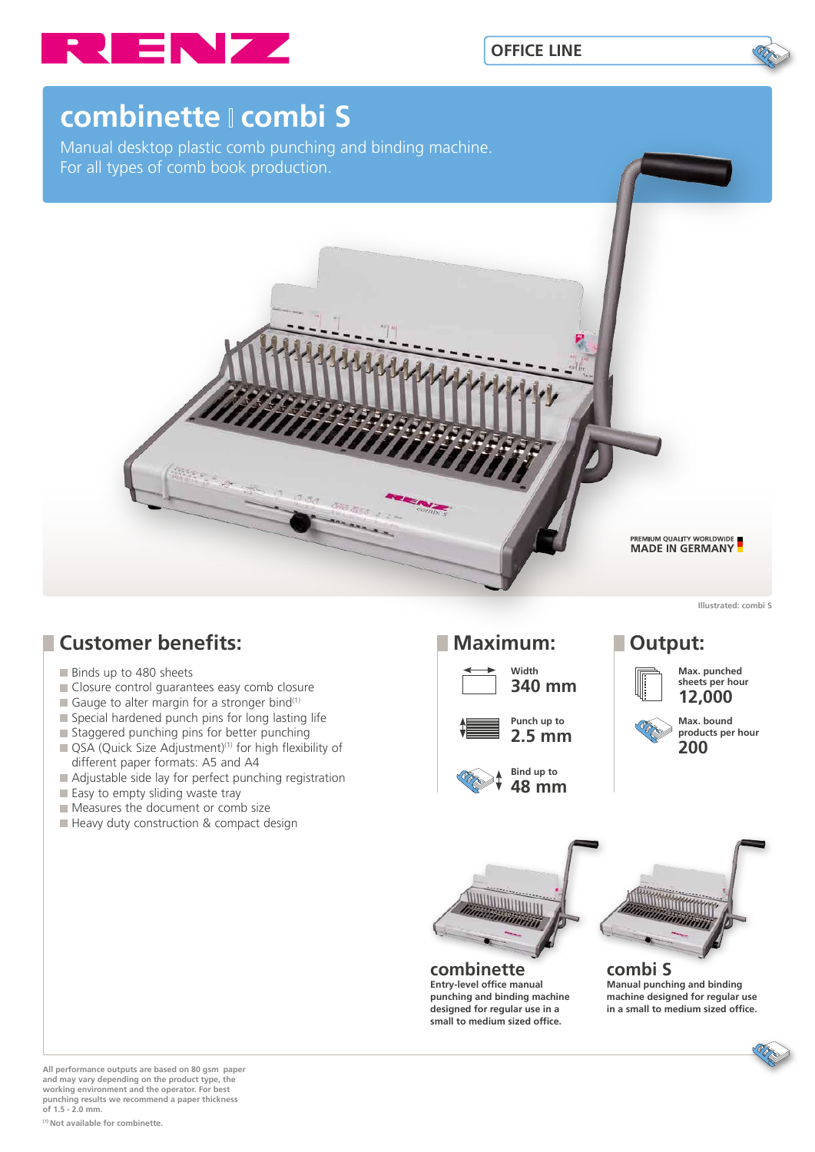



# **combinette combi S**

Manual desktop plastic comb punching and binding machine. For all types of comb book production.



**Illustrated: combi S**

# **Customer benefits:**

- Binds up to 480 sheets
- Closure control quarantees easy comb closure
- Gauge to alter margin for a stronger bind<sup>(1)</sup>
- $\blacksquare$  Special hardened punch pins for long lasting life
- $\blacksquare$  Staggered punching pins for better punching
- QSA (Quick Size Adjustment)<sup>(1)</sup> for high flexibility of different paper formats: A5 and A4
- Adjustable side lay for perfect punching registration
- Easy to empty sliding waste tray
- Measures the document or comb size
- Heavy duty construction & compact design

## **Maximum: Output:**









#### **Max. punched sheets per hour**





#### **combinette Entry-level office manual punching and binding machine designed for regular use in a small to medium sized office.**



**combi S Manual punching and binding machine designed for regular use in a small to medium sized office.**

**All performance outputs are based on 80 gsm paper and may vary depending on the product type, the working environment and the operator. For best punching results we recommend a paper thickness of 1.5 - 2.0 mm.**